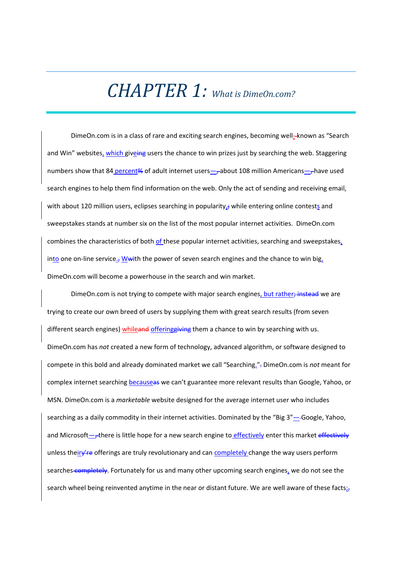## *CHAPTER 1: What is DimeOn.com?*

DimeOn.com is in a class of rare and exciting search engines, becoming well-known as "Search and Win" websites, which giveing users the chance to win prizes just by searching the web. Staggering numbers show that 84 percent% of adult internet users—, about 108 million Americans—, have used search engines to help them find information on the web. Only the act of sending and receiving email, with about 120 million users, eclipses searching in popularity, $\frac{1}{r}$  while entering online contests and sweepstakes stands at number six on the list of the most popular internet activities. DimeOn.com combines the characteristics of both of these popular internet activities, searching and sweepstakes, into one on-line service., W with the power of seven search engines and the chance to win big, DimeOn.com will become a powerhouse in the search and win market.

DimeOn.com is not trying to compete with major search engines, but rather; instead we are trying to create our own breed of users by supplying them with great search results (from seven different search engines) whileand offering giving them a chance to win by searching with us. DimeOn.com has *not* created a new form of technology, advanced algorithm, or software designed to compete in this bold and already dominated market we call "Searching.". DimeOn.com is *not* meant for complex internet searching becauseas we can't guarantee more relevant results than Google, Yahoo, or MSN. DimeOn.com is a *marketable* website designed for the average internet user who includes searching as a daily commodity in their internet activities. Dominated by the "Big 3"— Google, Yahoo, and Microsoft—, there is little hope for a new search engine to effectively enter this market effectively unless theiry're offerings are truly revolutionary and can completely change the way users perform searches completely. Fortunately for us and many other upcoming search engines, we do not see the search wheel being reinvented anytime in the near or distant future. We are well aware of these facts; $<sub>i</sub>$ </sub>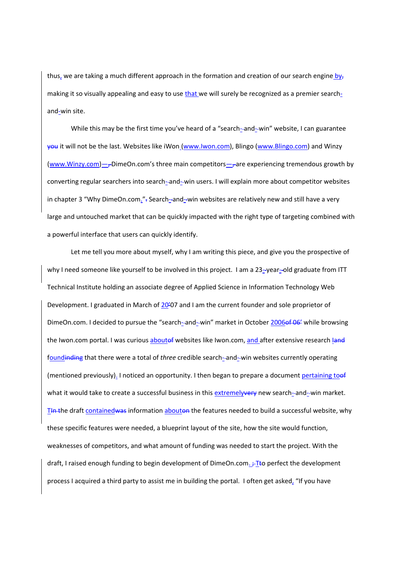thus, we are taking a much different approach in the formation and creation of our search engine bymaking it so visually appealing and easy to use that we will surely be recognized as a premier searchand‐win site.

While this may be the first time you've heard of a "search-and-win" website, I can guarantee you it will not be the last. Websites like iWon (www.Iwon.com), Blingo (www.Blingo.com) and Winzy (www.Winzy.com)—<sub> $\tau$ </sub>DimeOn.com's three main competitors— $\tau$ are experiencing tremendous growth by converting regular searchers into search--and--win users. I will explain more about competitor websites in chapter 3 "Why DimeOn.com."- Search--and--win websites are relatively new and still have a very large and untouched market that can be quickly impacted with the right type of targeting combined with a powerful interface that users can quickly identify.

Let me tell you more about myself, why I am writing this piece, and give you the prospective of why I need someone like yourself to be involved in this project. I am a 23--year--old graduate from ITT Technical Institute holding an associate degree of Applied Science in Information Technology Web Development. I graduated in March of 20'07 and I am the current founder and sole proprietor of DimeOn.com. I decided to pursue the "search--and--win" market in October 2006of 06' while browsing the Iwon.com portal. I was curious aboutef websites like Iwon.com, and after extensive research land foundinding that there were a total of *three* credible search–and–win websites currently operating (mentioned previously). I noticed an opportunity. I then began to prepare a document pertaining toof what it would take to create a successful business in this extremelyvery new search--and--win market. T<sub>th</sub> the draft contained was information abouton the features needed to build a successful website, why these specific features were needed, a blueprint layout of the site, how the site would function, weaknesses of competitors, and what amount of funding was needed to start the project. With the draft, I raised enough funding to begin development of DimeOn.com.  $\div$ Tto perfect the development process I acquired a third party to assist me in building the portal. I often get asked, "If you have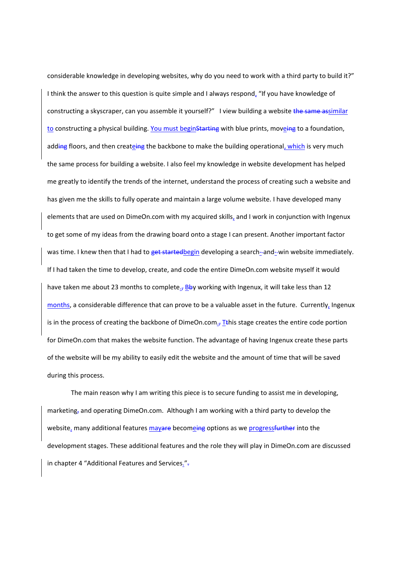considerable knowledge in developing websites, why do you need to work with a third party to build it?" I think the answer to this question is quite simple and I always respond, "If you have knowledge of constructing a skyscraper, can you assemble it yourself?" I view building a website the same assimilar to constructing a physical building. You must beginStarting with blue prints, moveing to a foundation, adding floors, and then createing the backbone to make the building operational, which is very much the same process for building a website. I also feel my knowledge in website development has helped me greatly to identify the trends of the internet, understand the process of creating such a website and has given me the skills to fully operate and maintain a large volume website. I have developed many elements that are used on DimeOn.com with my acquired skills, and I work in conjunction with Ingenux to get some of my ideas from the drawing board onto a stage I can present. Another important factor was time. I knew then that I had to get startedbegin developing a search--and--win website immediately. If I had taken the time to develop, create, and code the entire DimeOn.com website myself it would have taken me about 23 months to complete.<sub>7</sub> Bby working with Ingenux, it will take less than 12 months, a considerable difference that can prove to be a valuable asset in the future. Currently, Ingenux is in the process of creating the backbone of DimeOn.com. $\tau$ Tthis stage creates the entire code portion for DimeOn.com that makes the website function. The advantage of having Ingenux create these parts of the website will be my ability to easily edit the website and the amount of time that will be saved during this process.

The main reason why I am writing this piece is to secure funding to assist me in developing, marketing, and operating DimeOn.com. Although I am working with a third party to develop the website, many additional features mayare becomeing options as we progressfurther into the development stages. These additional features and the role they will play in DimeOn.com are discussed in chapter 4 "Additional Features and Services.".